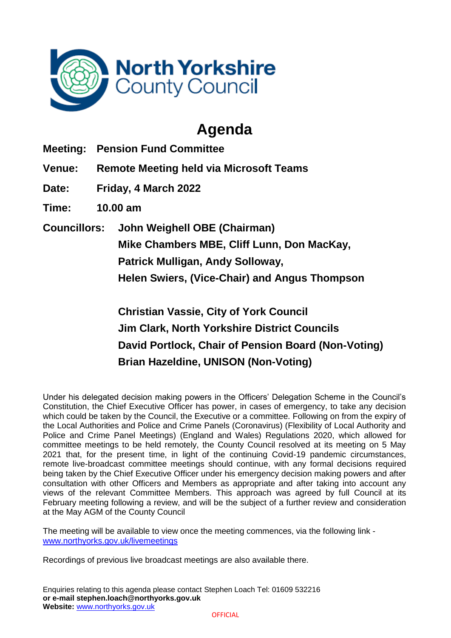

## **Agenda**

**Meeting: Pension Fund Committee**

**Venue: Remote Meeting held via Microsoft Teams**

**Date: Friday, 4 March 2022**

**Time: 10.00 am**

**Councillors: John Weighell OBE (Chairman) Mike Chambers MBE, Cliff Lunn, Don MacKay, Patrick Mulligan, Andy Solloway, Helen Swiers, (Vice-Chair) and Angus Thompson**

> **Christian Vassie, City of York Council Jim Clark, North Yorkshire District Councils David Portlock, Chair of Pension Board (Non-Voting) Brian Hazeldine, UNISON (Non-Voting)**

Under his delegated decision making powers in the Officers' Delegation Scheme in the Council's Constitution, the Chief Executive Officer has power, in cases of emergency, to take any decision which could be taken by the Council, the Executive or a committee. Following on from the expiry of the Local Authorities and Police and Crime Panels (Coronavirus) (Flexibility of Local Authority and Police and Crime Panel Meetings) (England and Wales) Regulations 2020, which allowed for committee meetings to be held remotely, the County Council resolved at its meeting on 5 May 2021 that, for the present time, in light of the continuing Covid-19 pandemic circumstances, remote live-broadcast committee meetings should continue, with any formal decisions required being taken by the Chief Executive Officer under his emergency decision making powers and after consultation with other Officers and Members as appropriate and after taking into account any views of the relevant Committee Members. This approach was agreed by full Council at its February meeting following a review, and will be the subject of a further review and consideration at the May AGM of the County Council

The meeting will be available to view once the meeting commences, via the following link [www.northyorks.gov.uk/livemeetings](http://www.northyorks.gov.uk/livemeetings)

Recordings of previous live broadcast meetings are also available there.

Enquiries relating to this agenda please contact Stephen Loach Tel: 01609 532216 **or e-mail stephen.loach@northyorks.gov.uk Website:** [www.northyorks.gov.uk](http://www.northyorks.gov.uk/)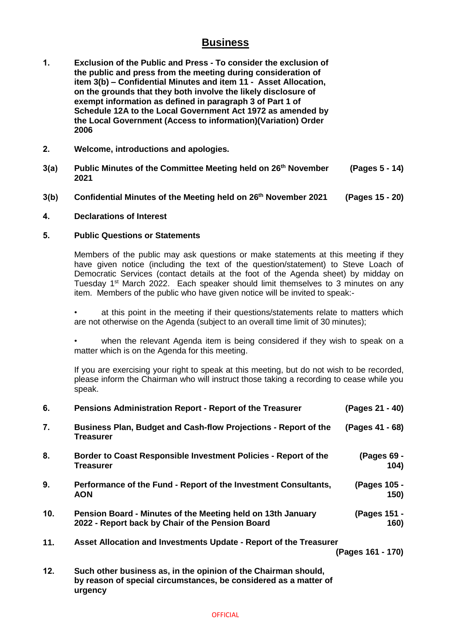## **Business**

- **1. Exclusion of the Public and Press - To consider the exclusion of the public and press from the meeting during consideration of item 3(b) – Confidential Minutes and item 11 - Asset Allocation, on the grounds that they both involve the likely disclosure of exempt information as defined in paragraph 3 of Part 1 of Schedule 12A to the Local Government Act 1972 as amended by the Local Government (Access to information)(Variation) Order 2006**
- **2. Welcome, introductions and apologies.**
- **3(a) Public Minutes of the Committee Meeting held on 26 th November 2021 (Pages 5 - 14)**
- **3(b) Confidential Minutes of the Meeting held on 26th November 2021 (Pages 15 - 20)**

## **4. Declarations of Interest**

**urgency**

## **5. Public Questions or Statements**

Members of the public may ask questions or make statements at this meeting if they have given notice (including the text of the question/statement) to Steve Loach of Democratic Services (contact details at the foot of the Agenda sheet) by midday on Tuesday 1<sup>st</sup> March 2022. Each speaker should limit themselves to 3 minutes on any item. Members of the public who have given notice will be invited to speak:-

at this point in the meeting if their questions/statements relate to matters which are not otherwise on the Agenda (subject to an overall time limit of 30 minutes);

when the relevant Agenda item is being considered if they wish to speak on a matter which is on the Agenda for this meeting.

If you are exercising your right to speak at this meeting, but do not wish to be recorded, please inform the Chairman who will instruct those taking a recording to cease while you speak.

| 6.  | <b>Pensions Administration Report - Report of the Treasurer</b>                                                                    | (Pages 21 - 40)      |
|-----|------------------------------------------------------------------------------------------------------------------------------------|----------------------|
| 7.  | Business Plan, Budget and Cash-flow Projections - Report of the<br><b>Treasurer</b>                                                | (Pages 41 - 68)      |
| 8.  | Border to Coast Responsible Investment Policies - Report of the<br><b>Treasurer</b>                                                | (Pages 69 -<br>104)  |
| 9.  | Performance of the Fund - Report of the Investment Consultants,<br><b>AON</b>                                                      | (Pages 105 -<br>150) |
| 10. | Pension Board - Minutes of the Meeting held on 13th January<br>2022 - Report back by Chair of the Pension Board                    | (Pages 151 -<br>160) |
| 11. | Asset Allocation and Investments Update - Report of the Treasurer<br>(Pages 161 - 170)                                             |                      |
| 12. | Such other business as, in the opinion of the Chairman should,<br>by reason of special circumstances, be considered as a matter of |                      |